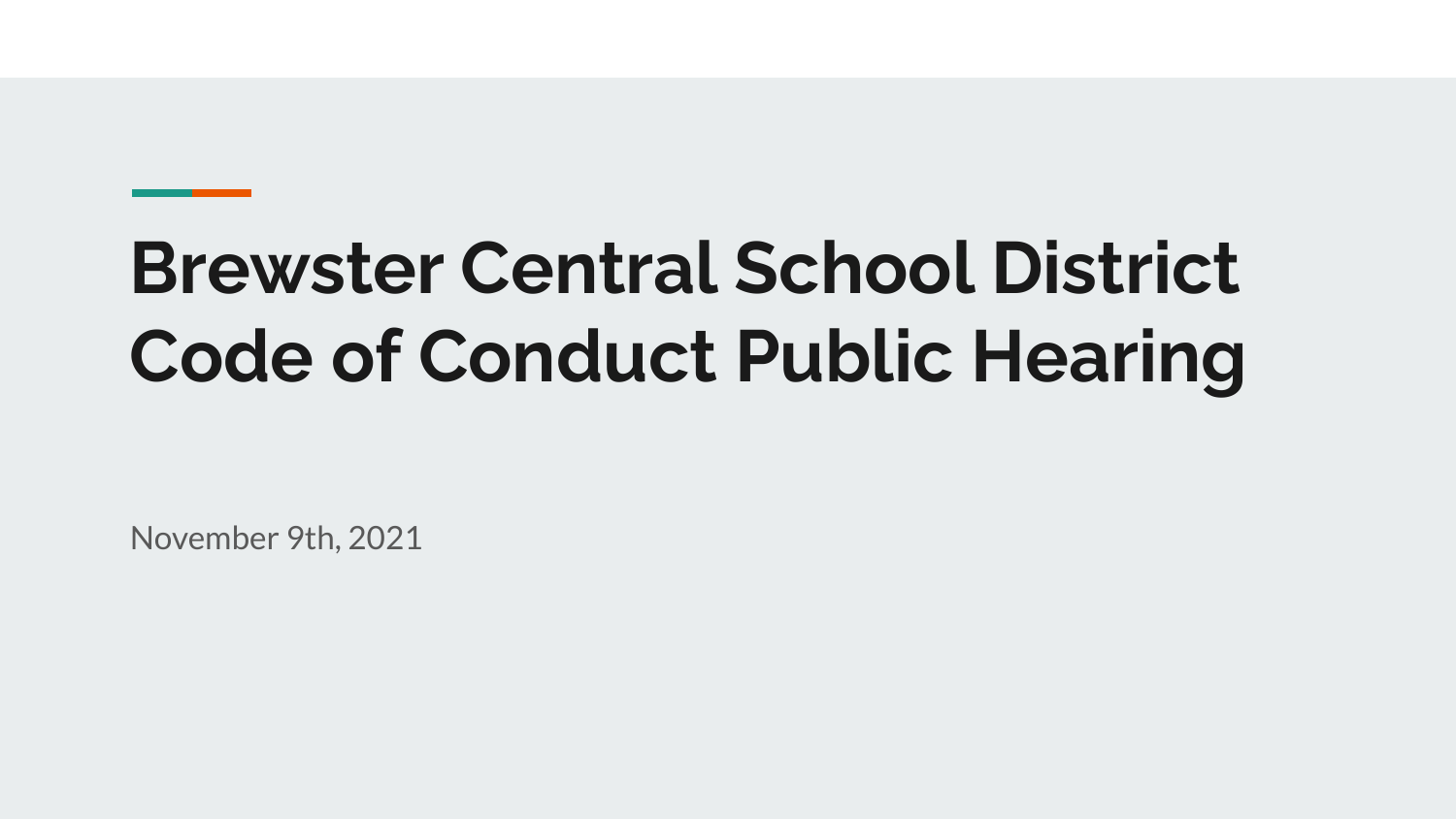# **Brewster Central School District Code of Conduct Public Hearing**

November 9th, 2021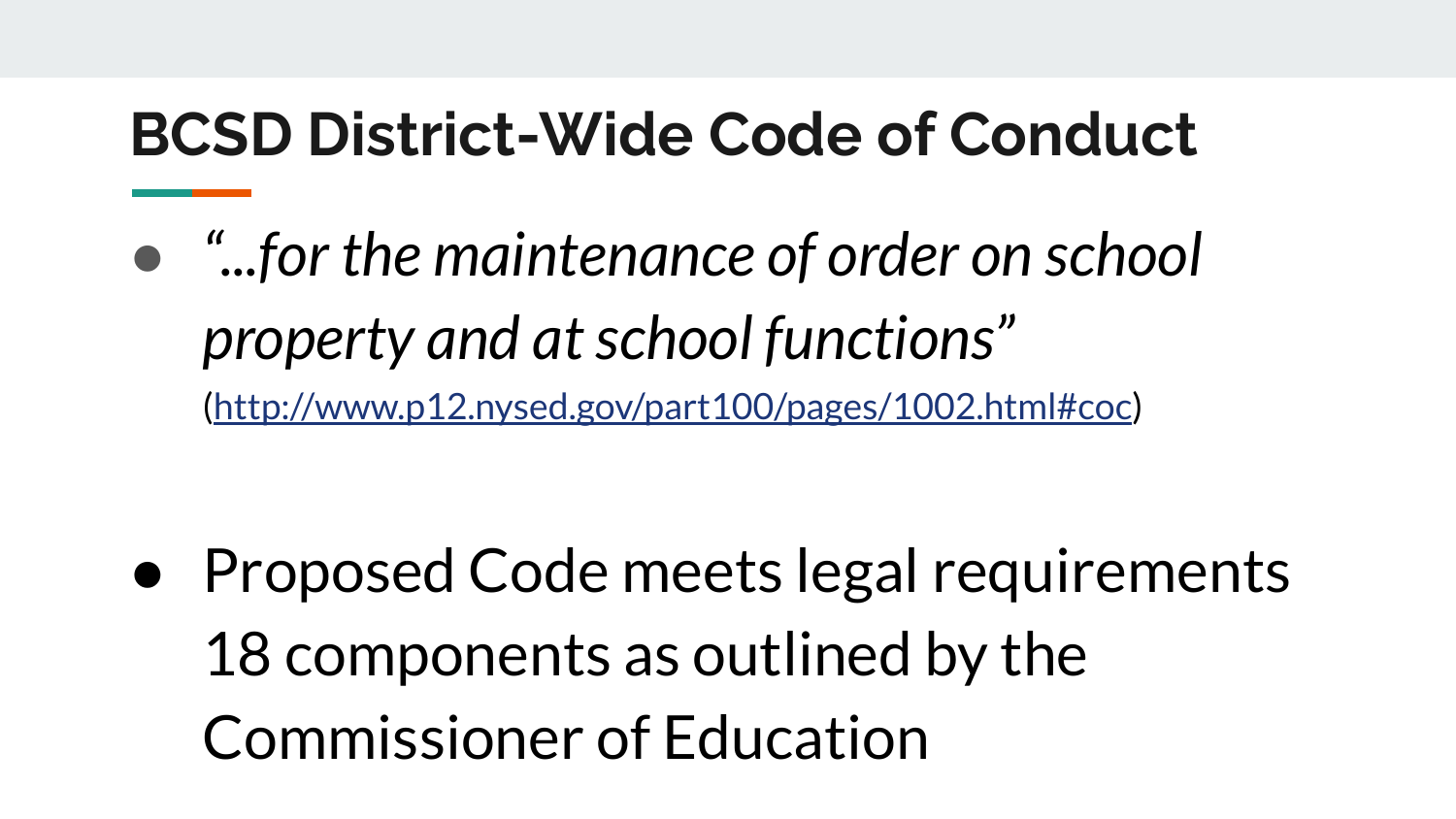### **BCSD District-Wide Code of Conduct**

● *"...for the maintenance of order on school property and at school functions"*

([http://www.p12.nysed.gov/part100/pages/1002.html#coc\)](http://www.p12.nysed.gov/part100/pages/1002.html#coc)

● Proposed Code meets legal requirements 18 components as outlined by the Commissioner of Education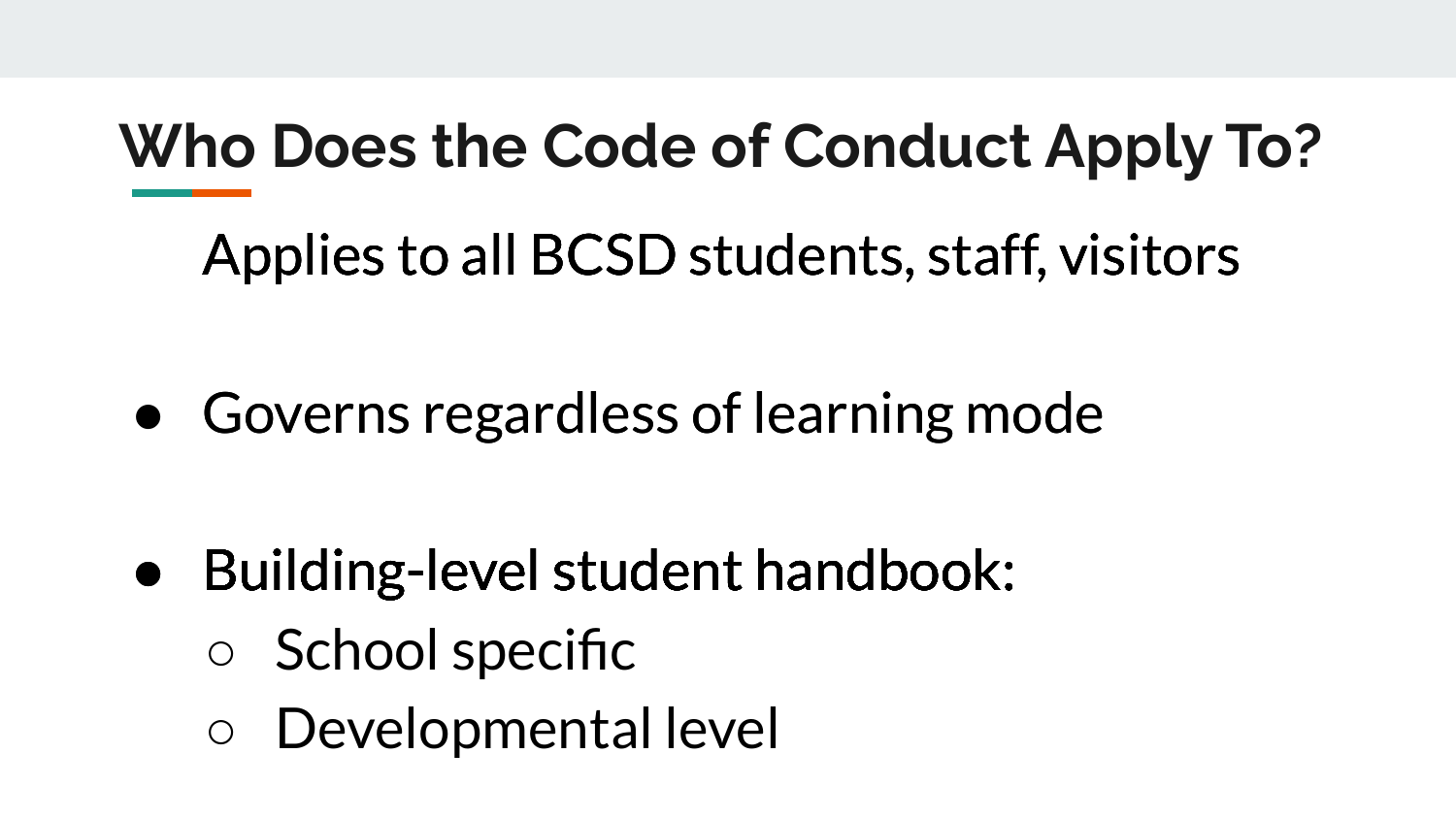### **Who Does the Code of Conduct Apply To?**

Applies to all BCSD students, staff, visitors

 $\bullet$  Governs regardless of learning mode

- $\bullet$  Building-level student handbook:
	- School specific
	- Developmental level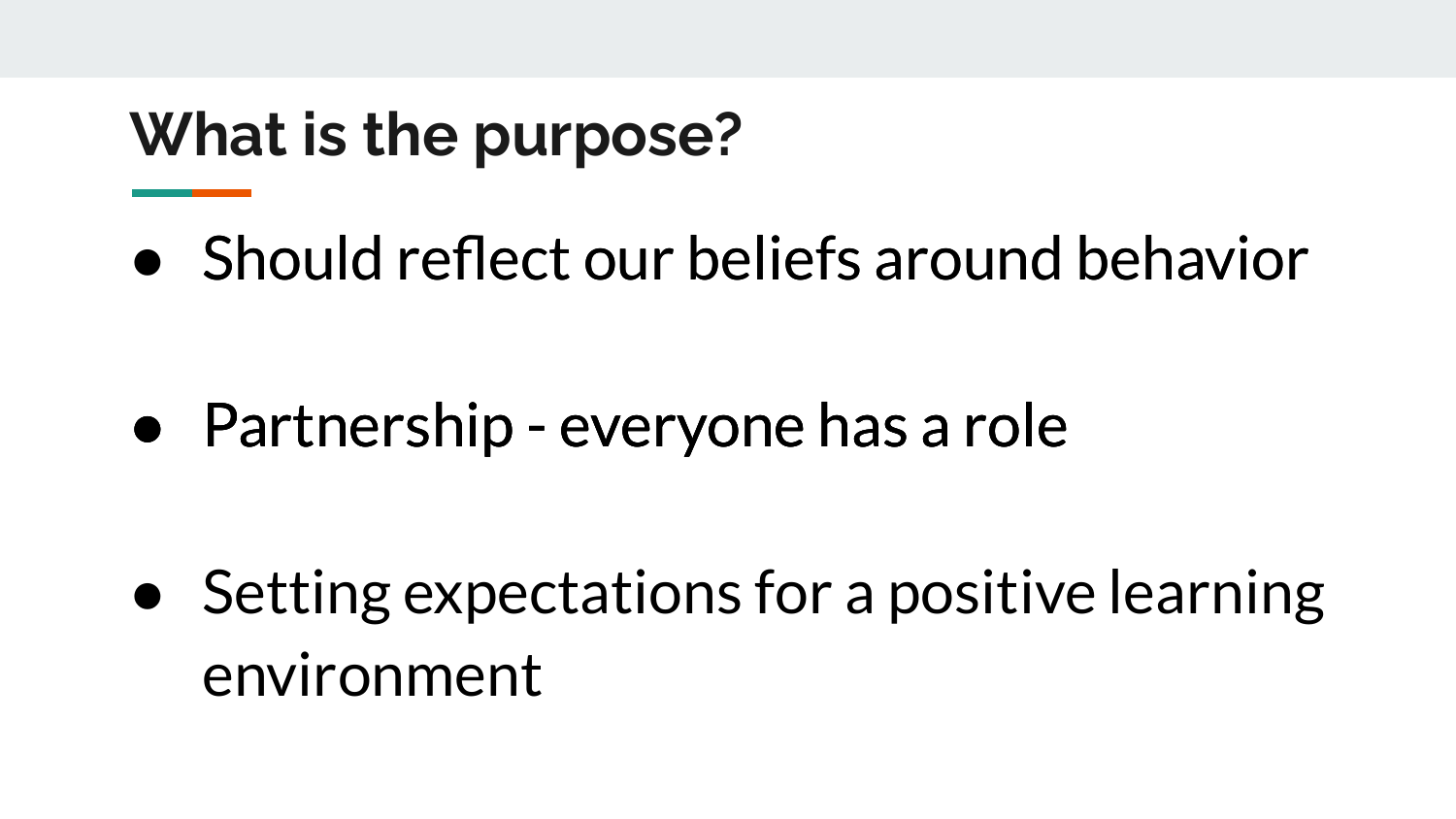### **What is the purpose?**

 $\bullet$  Should reflect our beliefs around behavior

 $\bullet$  Partnership - everyone has a role

● Setting expectations for a positive learning environment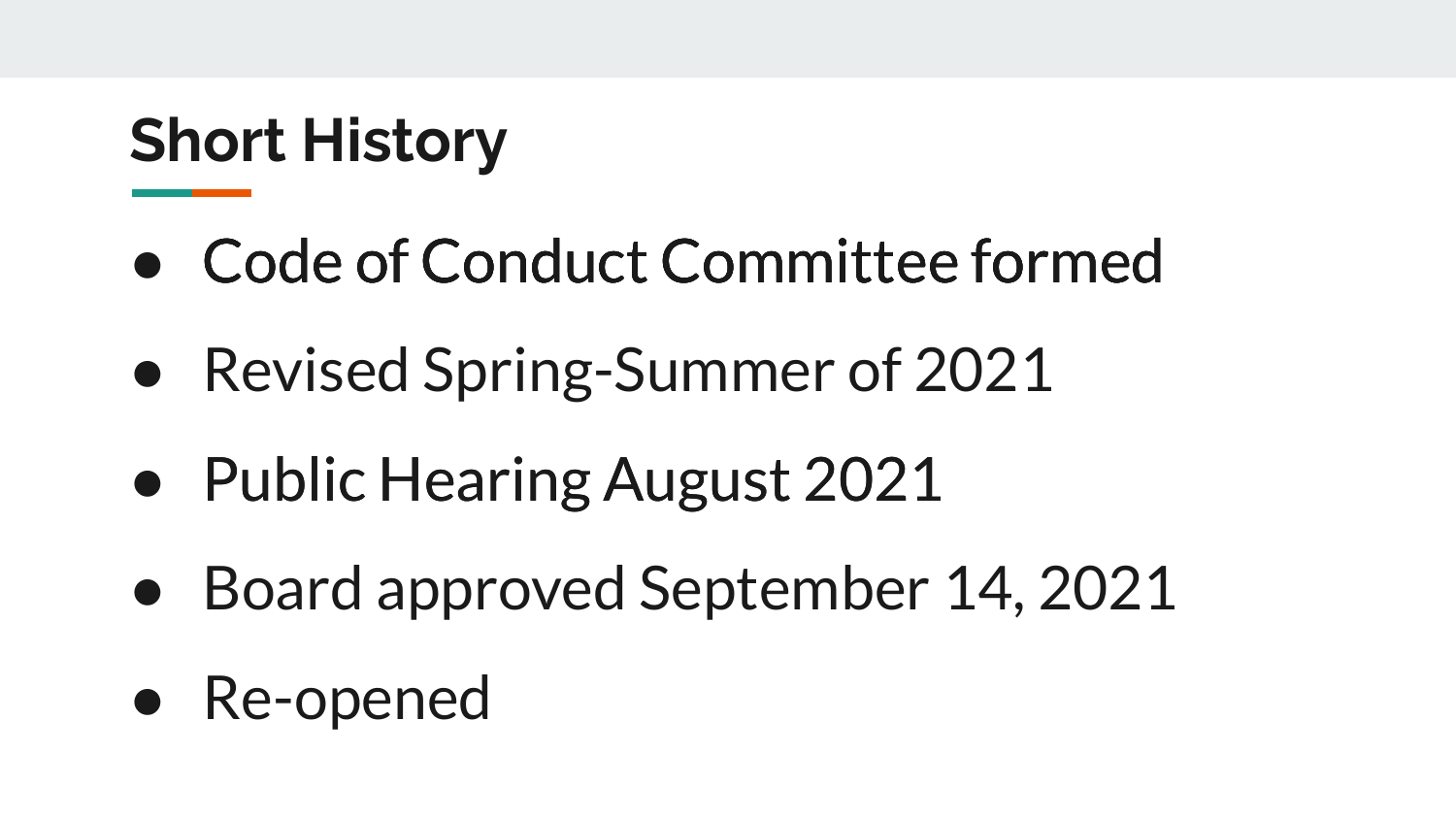# **Short History**

- Code of Conduct Committee formed
- Revised Spring-Summer of 2021
- Public Hearing August 2021
- Board approved September 14, 2021
- Re-opened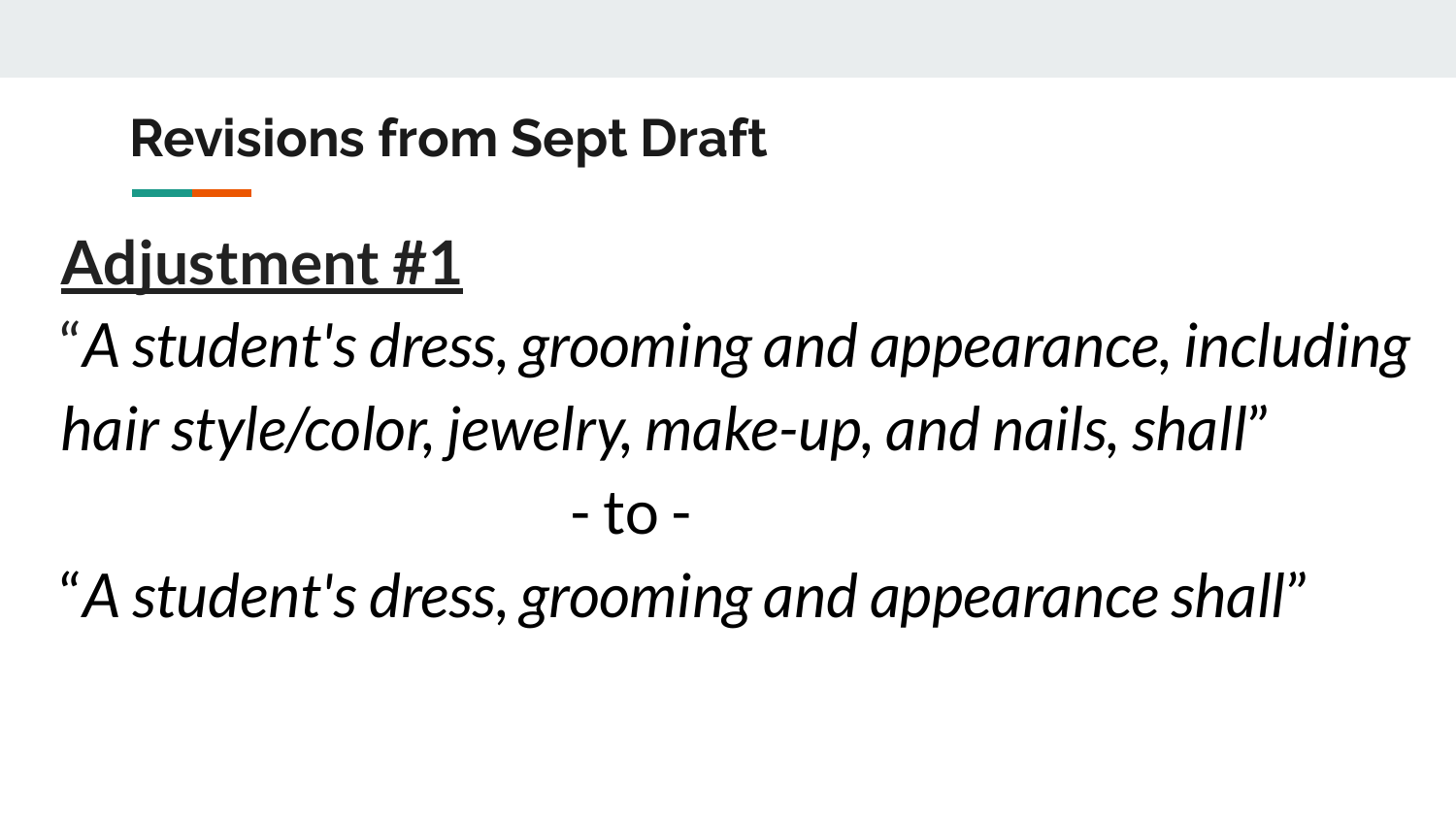#### **Revisions from Sept Draft**

# **Adjustment #1**

"*A student's dress, grooming and appearance, including hair style/color, jewelry, make-up, and nails, shall*" - to -

"*A student's dress, grooming and appearance shall*"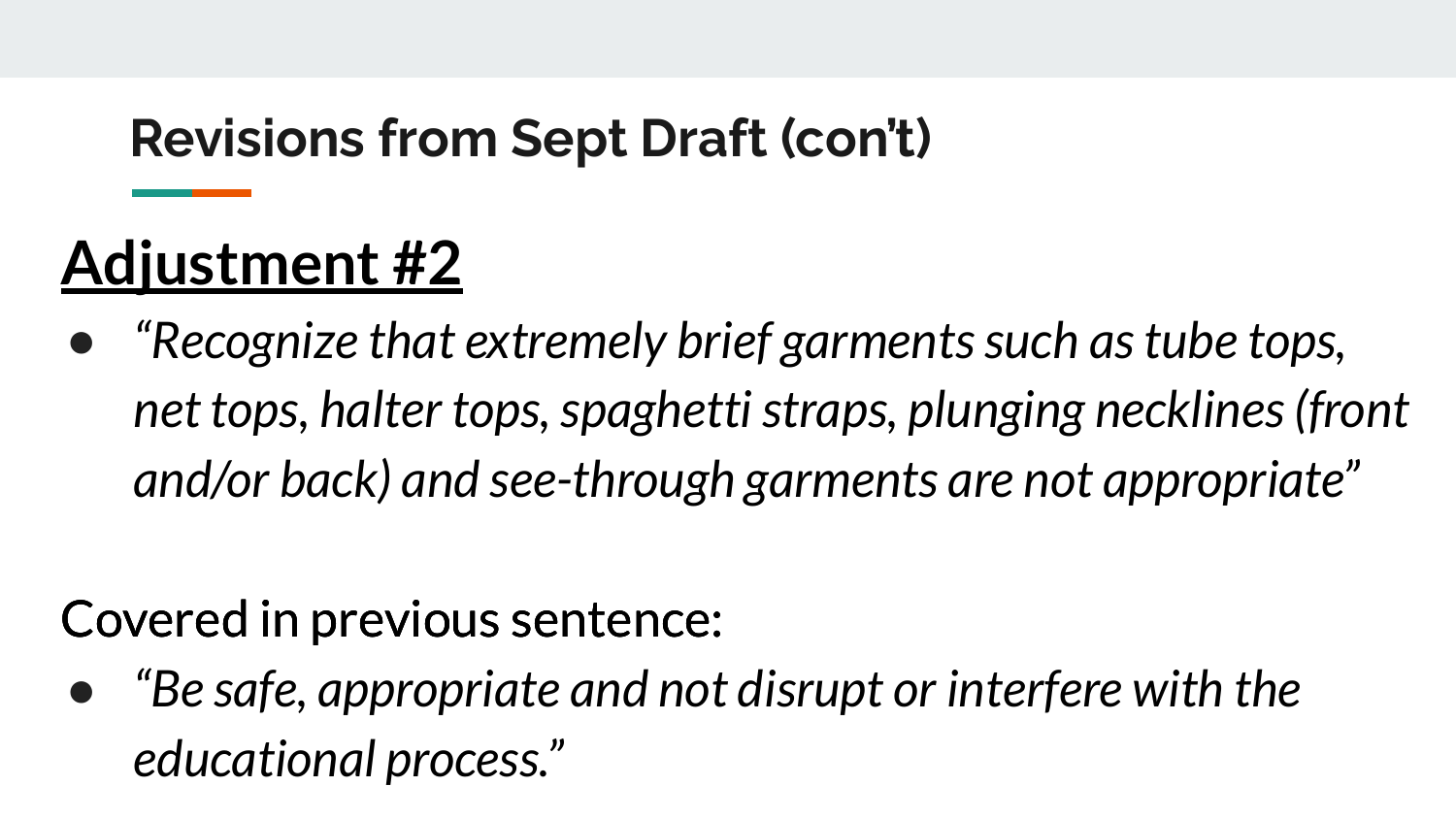#### **Revisions from Sept Draft (con't)**

# **Adjustment #2**

● *"Recognize that extremely brief garments such as tube tops, net tops, halter tops, spaghetti straps, plunging necklines (front and/or back) and see-through garments are not appropriate"*

#### Covered in previous sentence:

*● "Be safe, appropriate and not disrupt or interfere with the educational process."*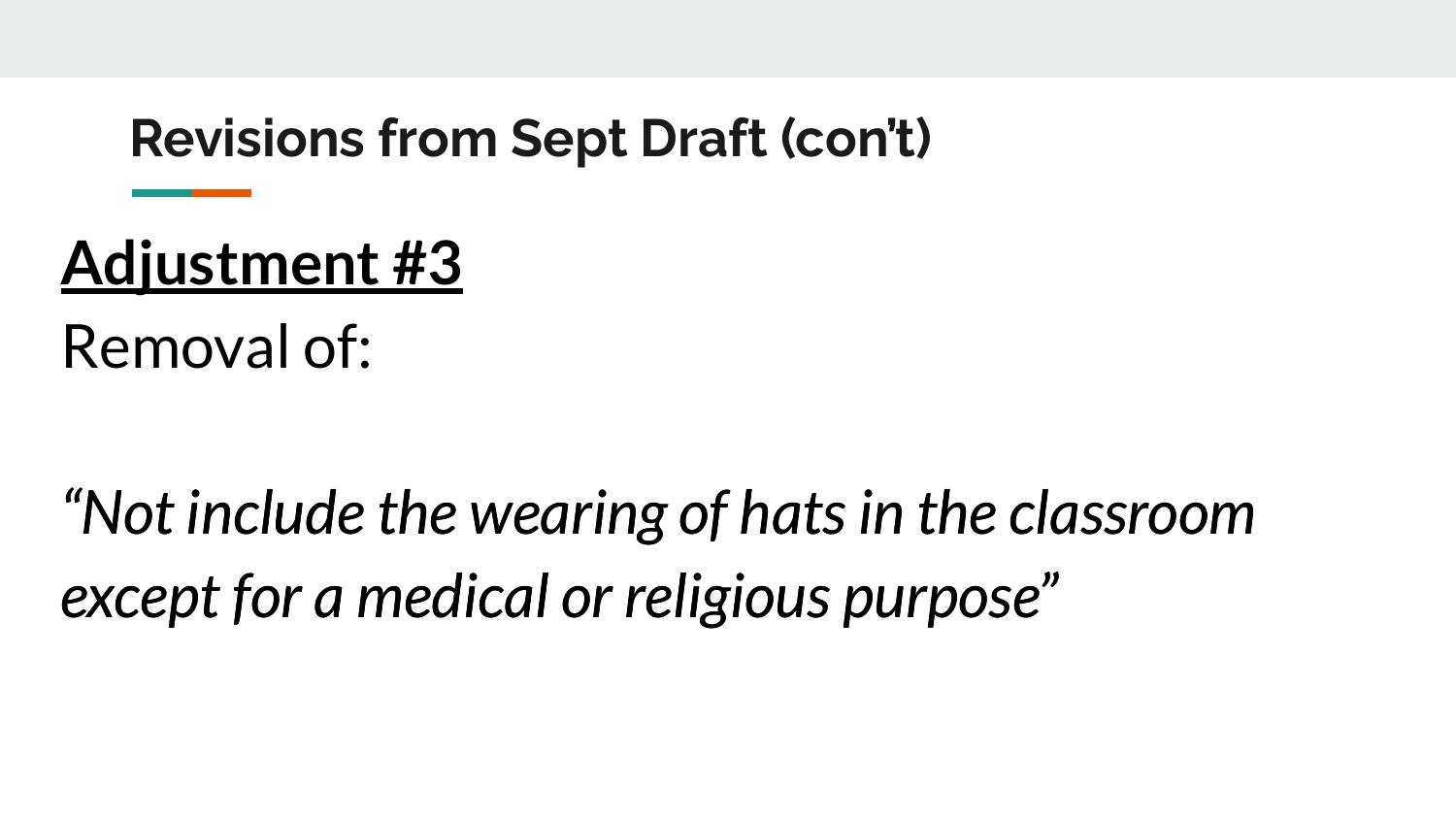#### **Revisions from Sept Draft (con't)**

## **Adjustment #3**

Removal of:

*"Not include the wearing of hats in the classr classroom except for a medical or religious purpose*"